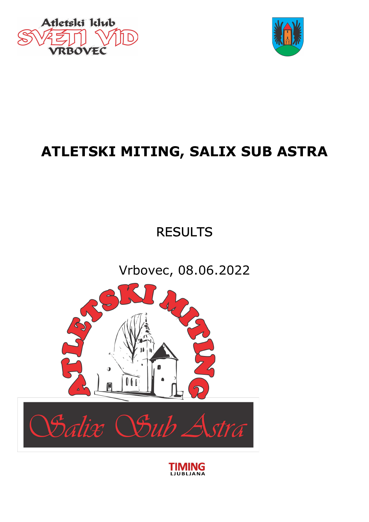



# ATLETSKI MITING, SALIX SUB ASTRA

# **RESULTS**

Vrbovec, 08.06.2022



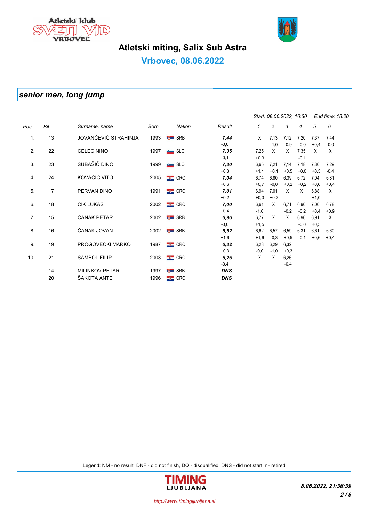



# Atletski miting, Salix Sub Astra

## Vrbovec, 08.06.2022

## senior men, long jump

|      |     |                       |      |                    |            | Start: 08.06.2022, 16:30 |                | End time: 18:20 |        |        |        |
|------|-----|-----------------------|------|--------------------|------------|--------------------------|----------------|-----------------|--------|--------|--------|
| Pos. | Bib | Surname, name         | Born | Nation             | Result     | 1                        | $\overline{c}$ | 3               | 4      | 5      | 6      |
| 1.   | 13  | JOVANČEVIĆ STRAHINJA  | 1993 | <b>M</b> SRB       | 7,44       | X                        | 7,13           | 7,12            | 7,20   | 7,37   | 7,44   |
|      |     |                       |      |                    | $-0,0$     |                          | $-1,0$         | $-0,9$          | $-0,0$ | $+0,4$ | $-0,0$ |
| 2.   | 22  | <b>CELEC NINO</b>     | 1997 | SLO                | 7,35       | 7,25                     | X              | X               | 7,35   | X      | Χ      |
|      |     |                       |      |                    | $-0,1$     | $+0,3$                   |                |                 | $-0,1$ |        |        |
| 3.   | 23  | SUBAŠIČ DINO          | 1999 | SLO                | 7,30       | 6,65                     | 7,21           | 7,14            | 7,18   | 7,30   | 7,29   |
|      |     |                       |      |                    | $+0.3$     | $+1,1$                   | $+0,1$         | $+0,5$          | $+0,0$ | $+0,3$ | $-0,4$ |
| 4.   | 24  | KOVAČIĆ VITO          | 2005 | $\equiv$ CRO       | 7,04       | 6,74                     | 6,80           | 6,39            | 6,72   | 7,04   | 6,81   |
|      |     |                       |      |                    | $+0,6$     | $+0,7$                   | $-0,0$         | $+0,2$          | $+0,2$ | $+0,6$ | $+0,4$ |
| 5.   | 17  | PERVAN DINO           | 1991 | $\equiv$ CRO       | 7,01       | 6,94                     | 7,01           | X               | X      | 6,88   | Χ      |
|      |     |                       |      |                    | $+0,2$     | $+0,3$                   | $+0,2$         |                 |        | $+1,0$ |        |
| 6.   | 18  | <b>CIK LUKAS</b>      | 2002 | $\equiv$ CRO       | 7,00       | 6,61                     | X              | 6,71            | 6,90   | 7,00   | 6,78   |
|      |     |                       |      |                    | $+0,4$     | $-1,0$                   |                | $-0,2$          | $-0,2$ | $+0,4$ | $+0,9$ |
| 7.   | 15  | ČANAK PETAR           | 2002 | <b>M</b> SRB       | 6,96       | 6,77                     | X              | X               | 6,96   | 6,91   | Χ      |
|      |     |                       |      |                    | $-0,0$     | $+1,5$                   |                |                 | $-0,0$ | $+0,3$ |        |
| 8.   | 16  | ČANAK JOVAN           | 2002 | <b>M</b> SRB       | 6,62       | 6,62                     | 6,57           | 6,59            | 6,31   | 6,61   | 6,60   |
|      |     |                       |      |                    | $+1,6$     | $+1,6$                   | $-0,3$         | $+0,5$          | $-0,1$ | $+0,6$ | $+0,4$ |
| 9.   | 19  | PROGOVEČKI MARKO      | 1987 | $\equiv$ CRO       | 6,32       | 6,28                     | 6,29           | 6,32            |        |        |        |
|      |     |                       |      |                    | $+0.3$     | $-0,0$                   | $-1,0$         | $+0,3$          |        |        |        |
| 10.  | 21  | <b>SAMBOL FILIP</b>   | 2003 | $\equiv$ CRO       | 6,26       | X                        | X              | 6,26            |        |        |        |
|      |     |                       |      |                    | $-0,4$     |                          |                | $-0,4$          |        |        |        |
|      | 14  | <b>MILINKOV PETAR</b> | 1997 | <b>Figure</b> SRB  | <b>DNS</b> |                          |                |                 |        |        |        |
|      | 20  | ŠAKOTA ANTE           | 1996 | $\blacksquare$ CRO | <b>DNS</b> |                          |                |                 |        |        |        |

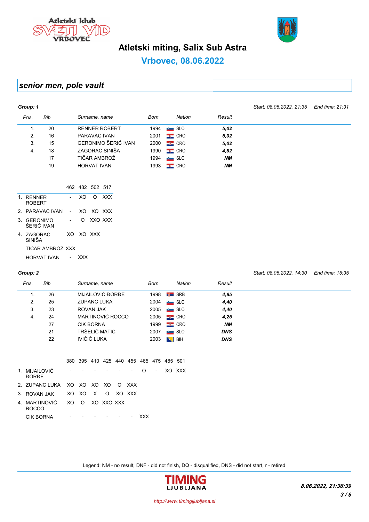



Start: 08.06.2022, 14:30 End time: 15:35

## Atletski miting, Salix Sub Astra

## Vrbovec, 08.06.2022

## senior men, pole vault

| Group: 1                   |                 |                          |          |         |                      |      |              |           | Start: 08.06.2022, 21:35 | End time: 21:31 |
|----------------------------|-----------------|--------------------------|----------|---------|----------------------|------|--------------|-----------|--------------------------|-----------------|
| Pos.                       | Bib             |                          |          |         | Surname, name        | Born | Nation       | Result    |                          |                 |
| 1.                         | 20              |                          |          |         | <b>RENNER ROBERT</b> | 1994 | SLO          | 5,02      |                          |                 |
| 2.                         | 16              |                          |          |         | PARAVAC IVAN         | 2001 | $\equiv$ CRO | 5,02      |                          |                 |
| 3.                         | 15              |                          |          |         | GERONIMO ŠERIĆ IVAN  | 2000 | $\equiv$ CRO | 5,02      |                          |                 |
| $\overline{4}$ .           | 18              |                          |          |         | ZAGORAC SINIŠA       | 1990 | $\equiv$ CRO | 4,82      |                          |                 |
|                            | 17              |                          |          |         | TIČAR AMBROŽ         | 1994 | $\sim$ SLO   | <b>NM</b> |                          |                 |
|                            | 19              |                          |          |         | <b>HORVAT IVAN</b>   | 1993 | $\equiv$ CRO | NΜ        |                          |                 |
|                            |                 |                          |          |         | 462 482 502 517      |      |              |           |                          |                 |
| 1. RENNER<br><b>ROBERT</b> |                 | $\sim$                   | XO       | $\circ$ | <b>XXX</b>           |      |              |           |                          |                 |
|                            | 2. PARAVAC IVAN | $\overline{\phantom{a}}$ | XO.      |         | XO XXX               |      |              |           |                          |                 |
| 3. GERONIMO                | ŠERIĆ IVAN      | $\sim$                   | $\Omega$ |         | XXO XXX              |      |              |           |                          |                 |

| ŠERIĆ IVAN           |            |  |
|----------------------|------------|--|
| 4. ZAGORAC<br>SINIŠA | XO XO XXX  |  |
| TIČAR AMBROŽ XXX     |            |  |
| <b>HORVAT IVAN</b>   | <b>XXX</b> |  |

### Group: 2

| Pos. | Bib | Surname, name      | Born | Nation       | Result     |
|------|-----|--------------------|------|--------------|------------|
|      | 26  | MIJAILOVIĆ ĐORĐE   | 1998 | <b>M</b> SRB | 4,85       |
| 2.   | 25  | <b>ZUPANC LUKA</b> | 2004 | SLO          | 4,40       |
| 3.   | 23  | ROVAN JAK          | 2005 | SLO          | 4,40       |
| 4.   | 24  | MARTINOVIĆ ROCCO   | 2005 | $\equiv$ CRO | 4,25       |
|      | 27  | <b>CIK BORNA</b>   | 1999 | $\equiv$ CRO | <b>NM</b>  |
|      | 21  | TRŠELIČ MATIC      | 2007 | SLO          | <b>DNS</b> |
|      | 22  | <b>IVIČIĆ LUKA</b> | 2003 | $\sim$ BiH   | <b>DNS</b> |

|  | 380 395 410 425 440 455 465 475 485 501 |  |  |  |  |
|--|-----------------------------------------|--|--|--|--|
|  |                                         |  |  |  |  |

| 1. MIJAII OVIĆ<br><b>DORDE</b>               | and the state of the state of |        | and the company of the company |  | $\Omega$ | <b>Contract Contract</b> | XO XXX |
|----------------------------------------------|-------------------------------|--------|--------------------------------|--|----------|--------------------------|--------|
| 2. ZUPANCLUKA XO XO XO XO O XXX              |                               |        |                                |  |          |                          |        |
| 3. ROVAN JAK XO XO XO XO XXX                 |                               |        |                                |  |          |                          |        |
| 4 MARTINOVIĆ XO O XO XXO XXX<br><b>ROCCO</b> |                               |        |                                |  |          |                          |        |
| CIK BORNA                                    |                               | $\sim$ |                                |  | xxx      |                          |        |
|                                              |                               |        |                                |  |          |                          |        |

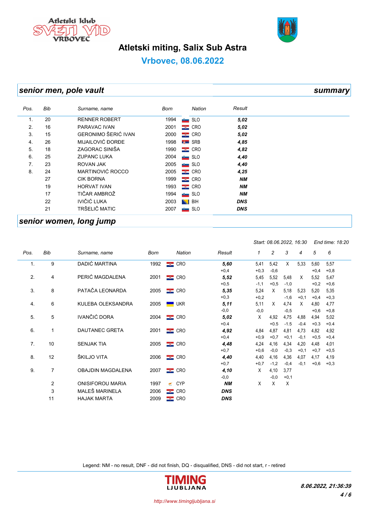



## Atletski miting, Salix Sub Astra

## Vrbovec, 08.06.2022

## senior men, pole vault summary summary

| Pos.           | Bib | Surname, name        | Born | Nation       | Result     |  |
|----------------|-----|----------------------|------|--------------|------------|--|
| $\mathbf{1}$ . | 20  | <b>RENNER ROBERT</b> | 1994 | SLO          | 5,02       |  |
| 2.             | 16  | PARAVAC IVAN         | 2001 | $\equiv$ CRO | 5,02       |  |
| 3.             | 15  | GERONIMO ŠERIĆ IVAN  | 2000 | $\equiv$ CRO | 5,02       |  |
| 4.             | 26  | MIJAILOVIĆ ĐORĐE     | 1998 | <b>M</b> SRB | 4,85       |  |
| 5.             | 18  | ZAGORAC SINIŠA       | 1990 | $\equiv$ CRO | 4,82       |  |
| 6.             | 25  | <b>ZUPANC LUKA</b>   | 2004 | SLO          | 4,40       |  |
| 7.             | 23  | <b>ROVAN JAK</b>     | 2005 | SLO          | 4,40       |  |
| 8.             | 24  | MARTINOVIĆ ROCCO     | 2005 | $\equiv$ CRO | 4,25       |  |
|                | 27  | <b>CIK BORNA</b>     | 1999 | $\equiv$ CRO | <b>NM</b>  |  |
|                | 19  | <b>HORVAT IVAN</b>   | 1993 | $\equiv$ CRO | <b>NM</b>  |  |
|                | 17  | TIČAR AMBROŽ         | 1994 | SLO          | <b>NM</b>  |  |
|                | 22  | IVIČIĆ LUKA          | 2003 | BIH<br>N     | <b>DNS</b> |  |
|                | 21  | TRŠELIČ MATIC        | 2007 | SLO          | <b>DNS</b> |  |
|                |     |                      |      |              |            |  |

### senior women, long jump

|      |                |                          |      |                 |            | Start: 08.06.2022, 16:30 |        | End time: 18:20 |        |        |        |
|------|----------------|--------------------------|------|-----------------|------------|--------------------------|--------|-----------------|--------|--------|--------|
| Pos. | Bib            | Surname, name            | Born | Nation          | Result     | 1                        | 2      | 3               | 4      | 5      | 6      |
| 1.   | 9              | DADIĆ MARTINA            | 1992 | $\equiv$ CRO    | 5,60       | 5,41                     | 5,42   | X               | 5,33   | 5,60   | 5,57   |
|      |                |                          |      |                 | $+0,4$     | $+0,3$                   | $-0,6$ |                 |        | $+0,4$ | $+0,8$ |
| 2.   | 4              | PERIĆ MAGDALENA          | 2001 | $\sim$ CRO      | 5,52       | 5,45                     | 5,52   | 5,48            | X      | 5,52   | 5,47   |
|      |                |                          |      |                 | $+0,5$     | $-1,1$                   | $+0,5$ | $-1,0$          |        | $+0,2$ | $+0,6$ |
| 3.   | 8              | PATAČA LEONARDA          | 2005 | $\equiv$ CRO    | 5,35       | 5,24                     | X      | 5,18            | 5,23   | 5,20   | 5,35   |
|      |                |                          |      |                 | $+0,3$     | $+0,2$                   |        | $-1,6$          | $+0,1$ | $+0,4$ | $+0,3$ |
| 4.   | 6              | KULEBA OLEKSANDRA        | 2005 | <b>UKR</b>      | 5, 11      | 5,11                     | X      | 4,74            | X      | 4,80   | 4,77   |
|      |                |                          |      |                 | $-0,0$     | $-0,0$                   |        | $-0,5$          |        | $+0,6$ | $+0,8$ |
| 5.   | 5              | IVANČIĆ DORA             | 2004 | $\equiv$ CRO    | 5,02       | X                        | 4,92   | 4,75            | 4,88   | 4,94   | 5,02   |
|      |                |                          |      |                 | $+0.4$     |                          | $+0.5$ | $-1.5$          | $-0.4$ | $+0.3$ | $+0.4$ |
| 6.   | 1              | <b>DAUTANEC GRETA</b>    | 2001 | $\sim$ CRO      | 4,92       | 4,84                     | 4,87   | 4,81            | 4,73   | 4,82   | 4,92   |
|      |                |                          |      |                 | $+0,4$     | $+0,9$                   | $+0,7$ | $+0,1$          | $-0,1$ | $+0,5$ | $+0,4$ |
| 7.   | 10             | <b>SENJAK TIA</b>        | 2005 | $\sim$ CRO      | 4,48       | 4,24                     | 4,16   | 4,34            | 4,20   | 4,48   | 4,01   |
|      |                |                          |      |                 | $+0,7$     | $+0,6$                   | $-0,0$ | $-0,3$          | $+0,1$ | $+0,7$ | $+0,5$ |
| 8.   | 12             | ŠKILJO VITA              | 2006 | $\equiv$ CRO    | 4,40       | 4,40                     | 4,16   | 4,36            | 4,07   | 4,17   | 4,19   |
|      |                |                          |      |                 | $+0,7$     | $+0,7$                   | $-1,2$ | $-0,4$          | $-0,1$ | $+0,6$ | $+0,3$ |
| 9.   | $\overline{7}$ | <b>OBAJDIN MAGDALENA</b> | 2007 | $\equiv$ CRO    | 4,10       | X                        | 4,10   | 3,77            |        |        |        |
|      |                |                          |      |                 | $-0,0$     |                          | $-0,0$ | $+0,1$          |        |        |        |
|      | $\overline{2}$ | <b>ONISIFOROU MARIA</b>  | 1997 | <b>CYP</b><br>€ | <b>NM</b>  | X                        | X      | X               |        |        |        |
|      | 3              | MALEŠ MARINELA           | 2006 | $\equiv$ CRO    | <b>DNS</b> |                          |        |                 |        |        |        |
|      | 11             | <b>HAJAK MARTA</b>       | 2009 | $\bullet$ CRO   | <b>DNS</b> |                          |        |                 |        |        |        |

Legend: NM - no result, DNF - did not finish, DQ - disqualified, DNS - did not start, r - retired



http://www.timingljubljana.si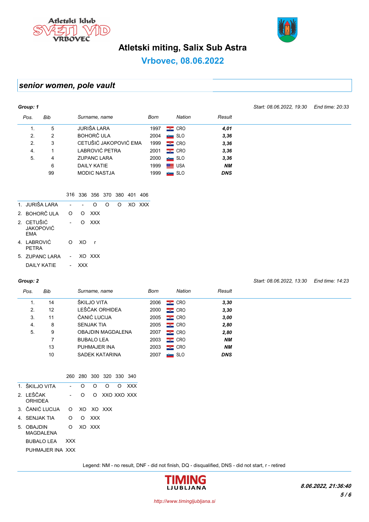



Start: 08.06.2022, 13:30 End time: 14:23

## Atletski miting, Salix Sub Astra

## Vrbovec, 08.06.2022

## senior women, pole vault

| Group: 1 |     |                       |      |                    |            | Start: 08.06.2022, 19:30 | End time: 20:33 |
|----------|-----|-----------------------|------|--------------------|------------|--------------------------|-----------------|
| Pos.     | Bib | Surname, name         | Born | Nation             | Result     |                          |                 |
| 1.       | 5   | JURIŠA LARA           | 1997 | $\equiv$ CRO       | 4,01       |                          |                 |
| 2.       | 2   | <b>BOHORČ ULA</b>     | 2004 | SLO                | 3,36       |                          |                 |
| 2.       | 3   | CETUŠIĆ JAKOPOVIĆ EMA | 1999 | $\equiv$ CRO       | 3,36       |                          |                 |
| 4.       |     | LABROVIĆ PETRA        | 2001 | $\equiv$ CRO       | 3,36       |                          |                 |
| 5.       | 4   | <b>ZUPANC LARA</b>    | 2000 | SLO                | 3,36       |                          |                 |
|          | 6   | DAILY KATIE           | 1999 | $\blacksquare$ USA | <b>NM</b>  |                          |                 |
|          | 99  | <b>MODIC NASTJA</b>   | 1999 | SLO                | <b>DNS</b> |                          |                 |

### 316 336 356 370 380 401 406

| 1. JURIŠA I ARA                              |          |     | O            | $\Omega$ | ∩ | XO XXX |
|----------------------------------------------|----------|-----|--------------|----------|---|--------|
| 2. BOHORČIJI A                               | $\Omega$ |     | O XXX        |          |   |        |
| 2. CETUŠIĆ<br><b>JAKOPOVIĆ</b><br><b>FMA</b> |          |     | O XXX        |          |   |        |
| 4. LABROVIĆ<br>PFTRA                         | ∩        | XO. | $\mathsf{r}$ |          |   |        |
| 5 ZUPANCIARA                                 |          |     | XO XXX       |          |   |        |
| DAII Y KATIF                                 |          |     |              |          |   |        |

#### Group: 2

| Pos. | Bib | Surname, name            | Born | Nation             | Result     |  |
|------|-----|--------------------------|------|--------------------|------------|--|
| 1.   | 14  | ŠKILJO VITA              | 2006 | $\equiv$ CRO       | 3,30       |  |
| 2.   | 12  | LEŠČAK ORHIDEA           | 2000 | $\equiv$ CRO       | 3,30       |  |
| 3.   | 11  | ČANIĆ LUCIJA             | 2005 | $\equiv$ CRO       | 3,00       |  |
| 4.   | 8   | <b>SENJAK TIA</b>        | 2005 | $\equiv$ CRO       | 2,80       |  |
| 5.   | 9   | <b>OBAJDIN MAGDALENA</b> | 2007 | $\equiv$ CRO       | 2,80       |  |
|      |     | <b>BUBALO LEA</b>        | 2003 | $\equiv$ CRO       | NМ         |  |
|      | 13  | PUHMAJER INA             | 2003 | $\equiv$ CRO       | <b>NM</b>  |  |
|      | 10  | SADEK KATARINA           | 2007 | <b>SLO</b><br>ستقر | <b>DNS</b> |  |

|                                 |            |   | 260 280 300 320 330 340 |   |             |            |
|---------------------------------|------------|---|-------------------------|---|-------------|------------|
| 1. ŠKILJO VITA                  |            | O | ∩                       | ∩ | Ω           | <b>XXX</b> |
| 2 IFŠČAK<br>ORHIDFA             |            | O | ∩                       |   | XXO XXO XXX |            |
| 3. ČANIĆ LUCIJA                 | ∩          |   | XO XO XXX               |   |             |            |
| 4. SENJAK TIA                   | ∩          | ∩ | XXX                     |   |             |            |
| 5. OBAJDIN<br><b>MAGDAL FNA</b> | O          |   | XO XXX                  |   |             |            |
| BUBALO LEA                      | <b>XXX</b> |   |                         |   |             |            |
| PUHMAJER INA XXX                |            |   |                         |   |             |            |